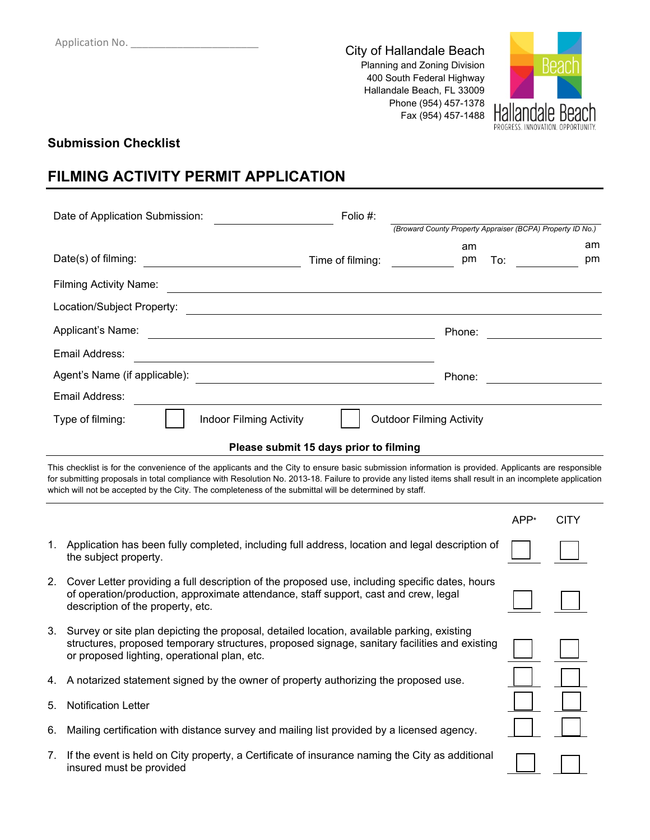City of Hallandale Beach Planning and Zoning Division 400 South Federal Highway Hallandale Beach, FL 33009 Phone (954) 457-1378 Fax (954) 457-1488



### **Submission Checklist**

insured must be provided

## **FILMING ACTIVITY PERMIT APPLICATION**

|                     | Date of Application Submission:                                                                                                                                                                                                                                                                                                                                                                                          | Folio #: |                  |                                                            |      |             |
|---------------------|--------------------------------------------------------------------------------------------------------------------------------------------------------------------------------------------------------------------------------------------------------------------------------------------------------------------------------------------------------------------------------------------------------------------------|----------|------------------|------------------------------------------------------------|------|-------------|
|                     |                                                                                                                                                                                                                                                                                                                                                                                                                          |          |                  | (Broward County Property Appraiser (BCPA) Property ID No.) |      |             |
| Date(s) of filming: |                                                                                                                                                                                                                                                                                                                                                                                                                          |          | Time of filming: | am<br>pm                                                   | To:  | am<br>pm    |
|                     | <b>Filming Activity Name:</b>                                                                                                                                                                                                                                                                                                                                                                                            |          |                  |                                                            |      |             |
|                     | Location/Subject Property:                                                                                                                                                                                                                                                                                                                                                                                               |          |                  |                                                            |      |             |
|                     | Applicant's Name:                                                                                                                                                                                                                                                                                                                                                                                                        |          |                  | Phone:                                                     |      |             |
|                     | Email Address:                                                                                                                                                                                                                                                                                                                                                                                                           |          |                  |                                                            |      |             |
|                     | Agent's Name (if applicable):                                                                                                                                                                                                                                                                                                                                                                                            |          |                  | Phone:                                                     |      |             |
|                     | Email Address:                                                                                                                                                                                                                                                                                                                                                                                                           |          |                  |                                                            |      |             |
|                     | <b>Indoor Filming Activity</b><br>Type of filming:                                                                                                                                                                                                                                                                                                                                                                       |          |                  | <b>Outdoor Filming Activity</b>                            |      |             |
|                     | Please submit 15 days prior to filming                                                                                                                                                                                                                                                                                                                                                                                   |          |                  |                                                            |      |             |
|                     | This checklist is for the convenience of the applicants and the City to ensure basic submission information is provided. Applicants are responsible<br>for submitting proposals in total compliance with Resolution No. 2013-18. Failure to provide any listed items shall result in an incomplete application<br>which will not be accepted by the City. The completeness of the submittal will be determined by staff. |          |                  |                                                            |      |             |
|                     |                                                                                                                                                                                                                                                                                                                                                                                                                          |          |                  |                                                            | APP* | <b>CITY</b> |
| 1.                  | Application has been fully completed, including full address, location and legal description of<br>the subject property.                                                                                                                                                                                                                                                                                                 |          |                  |                                                            |      |             |
| 2.                  | Cover Letter providing a full description of the proposed use, including specific dates, hours<br>of operation/production, approximate attendance, staff support, cast and crew, legal<br>description of the property, etc.                                                                                                                                                                                              |          |                  |                                                            |      |             |
| 3.                  | Survey or site plan depicting the proposal, detailed location, available parking, existing<br>structures, proposed temporary structures, proposed signage, sanitary facilities and existing<br>or proposed lighting, operational plan, etc.                                                                                                                                                                              |          |                  |                                                            |      |             |
|                     | 4. A notarized statement signed by the owner of property authorizing the proposed use.                                                                                                                                                                                                                                                                                                                                   |          |                  |                                                            |      |             |
| 5.                  | <b>Notification Letter</b>                                                                                                                                                                                                                                                                                                                                                                                               |          |                  |                                                            |      |             |
| 6.                  | Mailing certification with distance survey and mailing list provided by a licensed agency.                                                                                                                                                                                                                                                                                                                               |          |                  |                                                            |      |             |
| 7.                  | If the event is held on City property, a Certificate of insurance naming the City as additional<br>insured must be provided                                                                                                                                                                                                                                                                                              |          |                  |                                                            |      |             |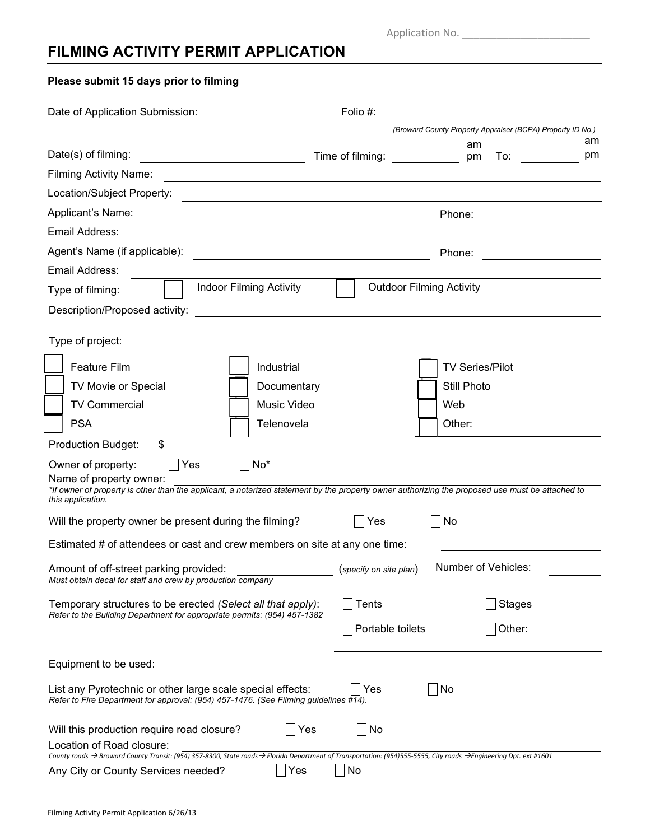Application No. \_\_\_\_\_\_\_\_\_\_\_\_\_\_\_\_\_\_\_\_\_\_

# **FILMING ACTIVITY PERMIT APPLICATION**

**Please submit 15 days prior to filming**

| Date of Application Submission:                                                                                                                                                                | Folio #:                                                                                                                                        |
|------------------------------------------------------------------------------------------------------------------------------------------------------------------------------------------------|-------------------------------------------------------------------------------------------------------------------------------------------------|
|                                                                                                                                                                                                | (Broward County Property Appraiser (BCPA) Property ID No.)                                                                                      |
| Date(s) of filming:                                                                                                                                                                            | am<br>am<br>Time of filming:<br>pm<br>pm<br>To:                                                                                                 |
| <b>Filming Activity Name:</b>                                                                                                                                                                  |                                                                                                                                                 |
| Location/Subject Property:                                                                                                                                                                     |                                                                                                                                                 |
| Applicant's Name:                                                                                                                                                                              | Phone:                                                                                                                                          |
| Email Address:                                                                                                                                                                                 |                                                                                                                                                 |
| Agent's Name (if applicable):                                                                                                                                                                  | Phone:                                                                                                                                          |
| Email Address:                                                                                                                                                                                 |                                                                                                                                                 |
| <b>Indoor Filming Activity</b><br>Type of filming:                                                                                                                                             | <b>Outdoor Filming Activity</b>                                                                                                                 |
| Description/Proposed activity:                                                                                                                                                                 |                                                                                                                                                 |
|                                                                                                                                                                                                |                                                                                                                                                 |
| Type of project:                                                                                                                                                                               |                                                                                                                                                 |
| <b>Feature Film</b><br>Industrial                                                                                                                                                              | <b>TV Series/Pilot</b>                                                                                                                          |
| TV Movie or Special<br>Documentary                                                                                                                                                             | Still Photo                                                                                                                                     |
| <b>TV Commercial</b><br>Music Video                                                                                                                                                            | Web                                                                                                                                             |
| <b>PSA</b><br>Telenovela                                                                                                                                                                       | Other:                                                                                                                                          |
| <b>Production Budget:</b><br>P.                                                                                                                                                                |                                                                                                                                                 |
| $No^*$<br>Owner of property:<br>  Yes<br>Name of property owner:<br>this application.                                                                                                          | *If owner of property is other than the applicant, a notarized statement by the property owner authorizing the proposed use must be attached to |
| Will the property owner be present during the filming?                                                                                                                                         | No<br> Yes                                                                                                                                      |
| Estimated # of attendees or cast and crew members on site at any one time:                                                                                                                     |                                                                                                                                                 |
| Amount of off-street parking provided:<br>Must obtain decal for staff and crew by production company                                                                                           | Number of Vehicles:<br>(specify on site plan)                                                                                                   |
| Temporary structures to be erected (Select all that apply):<br>Refer to the Building Department for appropriate permits: (954) 457-1382                                                        | <b>Tents</b><br><b>Stages</b>                                                                                                                   |
|                                                                                                                                                                                                | Portable toilets<br>Other:                                                                                                                      |
| Equipment to be used:                                                                                                                                                                          |                                                                                                                                                 |
| List any Pyrotechnic or other large scale special effects:<br>Refer to Fire Department for approval: (954) 457-1476. (See Filming guidelines #14).                                             | No<br>Yes                                                                                                                                       |
| Will this production require road closure?<br>Yes                                                                                                                                              | No                                                                                                                                              |
| Location of Road closure:<br>County roads → Broward County Transit: (954) 357-8300, State roads → Florida Department of Transportation: (954)555-5555, City roads → Engineering Dpt. ext #1601 |                                                                                                                                                 |
| Yes<br>Any City or County Services needed?                                                                                                                                                     | No                                                                                                                                              |